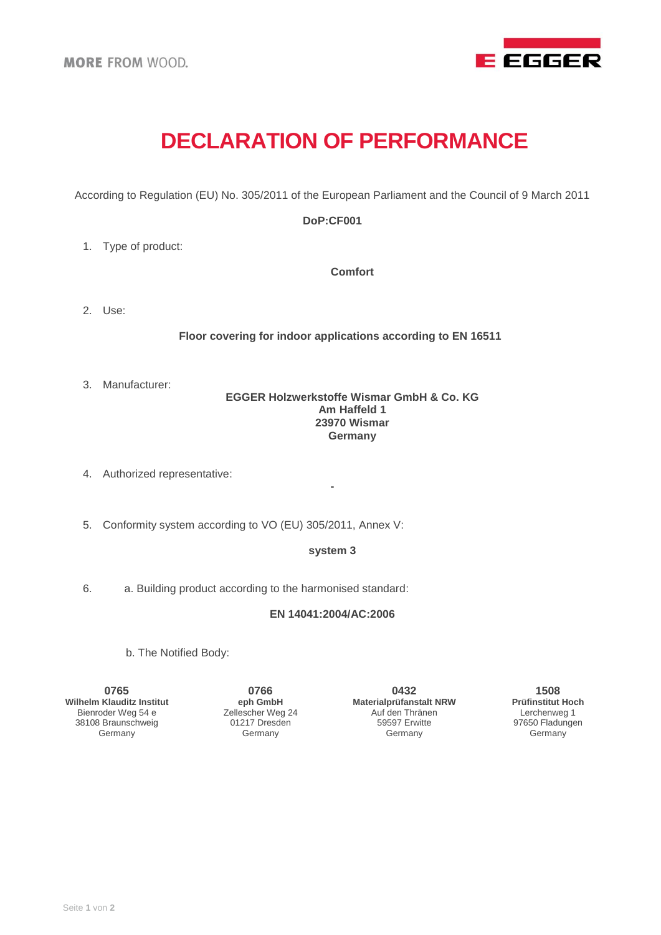

# **DECLARATION OF PERFORMANCE**

According to Regulation (EU) No. 305/2011 of the European Parliament and the Council of 9 March 2011

## **DoP:CF001**

1. Type of product:

**Comfort**

2. Use:

**Floor covering for indoor applications according to EN 16511**

3. Manufacturer:

## **EGGER Holzwerkstoffe Wismar GmbH & Co. KG Am Haffeld 1 23970 Wismar Germany**

- 4. Authorized representative:
- 5. Conformity system according to VO (EU) 305/2011, Annex V:

#### **system 3**

**-**

6. a. Building product according to the harmonised standard:

#### **EN 14041:2004/AC:2006**

b. The Notified Body:

**0765 Wilhelm Klauditz Institut** Bienroder Weg 54 e 38108 Braunschweig Germany

**0766 eph GmbH** Zellescher Weg 24 01217 Dresden Germany

**0432 Materialprüfanstalt NRW** Auf den Thränen 59597 Erwitte Germany

**1508 Prüfinstitut Hoch** Lerchenweg 1 97650 Fladungen Germany